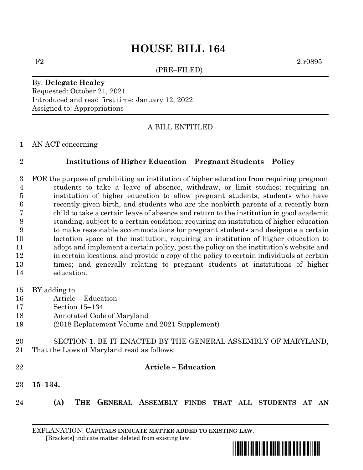# **HOUSE BILL 164**

(PRE–FILED)

 $F2 \t2lr0895$ 

#### By: **Delegate Healey** Requested: October 21, 2021 Introduced and read first time: January 12, 2022 Assigned to: Appropriations

### A BILL ENTITLED

#### AN ACT concerning

#### **Institutions of Higher Education – Pregnant Students – Policy**

- FOR the purpose of prohibiting an institution of higher education from requiring pregnant students to take a leave of absence, withdraw, or limit studies; requiring an institution of higher education to allow pregnant students, students who have recently given birth, and students who are the nonbirth parents of a recently born child to take a certain leave of absence and return to the institution in good academic standing, subject to a certain condition; requiring an institution of higher education to make reasonable accommodations for pregnant students and designate a certain lactation space at the institution; requiring an institution of higher education to adopt and implement a certain policy, post the policy on the institution's website and in certain locations, and provide a copy of the policy to certain individuals at certain times; and generally relating to pregnant students at institutions of higher education.
- BY adding to
- Article Education
- Section 15–134
- Annotated Code of Maryland
- (2018 Replacement Volume and 2021 Supplement)
- SECTION 1. BE IT ENACTED BY THE GENERAL ASSEMBLY OF MARYLAND, That the Laws of Maryland read as follows:
- 

#### **Article – Education**

- **15–134.**
- **(A) THE GENERAL ASSEMBLY FINDS THAT ALL STUDENTS AT AN**

EXPLANATION: **CAPITALS INDICATE MATTER ADDED TO EXISTING LAW**.  **[**Brackets**]** indicate matter deleted from existing law.

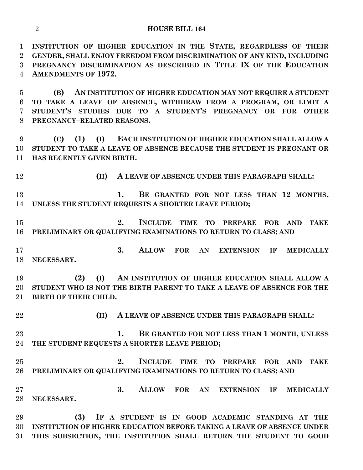#### **HOUSE BILL 164**

 **INSTITUTION OF HIGHER EDUCATION IN THE STATE, REGARDLESS OF THEIR GENDER, SHALL ENJOY FREEDOM FROM DISCRIMINATION OF ANY KIND, INCLUDING PREGNANCY DISCRIMINATION AS DESCRIBED IN TITLE IX OF THE EDUCATION AMENDMENTS OF 1972.**

 **(B) AN INSTITUTION OF HIGHER EDUCATION MAY NOT REQUIRE A STUDENT TO TAKE A LEAVE OF ABSENCE, WITHDRAW FROM A PROGRAM, OR LIMIT A STUDENT'S STUDIES DUE TO A STUDENT'S PREGNANCY OR FOR OTHER PREGNANCY–RELATED REASONS.**

 **(C) (1) (I) EACH INSTITUTION OF HIGHER EDUCATION SHALL ALLOW A STUDENT TO TAKE A LEAVE OF ABSENCE BECAUSE THE STUDENT IS PREGNANT OR HAS RECENTLY GIVEN BIRTH.**

**(II) A LEAVE OF ABSENCE UNDER THIS PARAGRAPH SHALL:**

 **1. BE GRANTED FOR NOT LESS THAN 12 MONTHS, UNLESS THE STUDENT REQUESTS A SHORTER LEAVE PERIOD;**

 **2. INCLUDE TIME TO PREPARE FOR AND TAKE PRELIMINARY OR QUALIFYING EXAMINATIONS TO RETURN TO CLASS; AND**

 **3. ALLOW FOR AN EXTENSION IF MEDICALLY NECESSARY.**

 **(2) (I) AN INSTITUTION OF HIGHER EDUCATION SHALL ALLOW A STUDENT WHO IS NOT THE BIRTH PARENT TO TAKE A LEAVE OF ABSENCE FOR THE BIRTH OF THEIR CHILD.**

**(II) A LEAVE OF ABSENCE UNDER THIS PARAGRAPH SHALL:**

 **1. BE GRANTED FOR NOT LESS THAN 1 MONTH, UNLESS THE STUDENT REQUESTS A SHORTER LEAVE PERIOD;**

 **2. INCLUDE TIME TO PREPARE FOR AND TAKE PRELIMINARY OR QUALIFYING EXAMINATIONS TO RETURN TO CLASS; AND**

 **3. ALLOW FOR AN EXTENSION IF MEDICALLY NECESSARY.**

 **(3) IF A STUDENT IS IN GOOD ACADEMIC STANDING AT THE INSTITUTION OF HIGHER EDUCATION BEFORE TAKING A LEAVE OF ABSENCE UNDER THIS SUBSECTION, THE INSTITUTION SHALL RETURN THE STUDENT TO GOOD**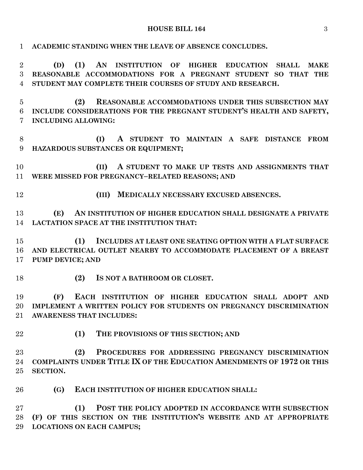## **HOUSE BILL 164** 3

| $\mathbf{1}$     | ACADEMIC STANDING WHEN THE LEAVE OF ABSENCE CONCLUDES.                                    |
|------------------|-------------------------------------------------------------------------------------------|
| $\overline{2}$   | (1)<br>AN INSTITUTION OF<br><b>HIGHER EDUCATION</b><br>(D)<br><b>SHALL</b><br><b>MAKE</b> |
| 3                | REASONABLE ACCOMMODATIONS FOR A PREGNANT STUDENT SO THAT THE                              |
| $\overline{4}$   | STUDENT MAY COMPLETE THEIR COURSES OF STUDY AND RESEARCH.                                 |
| $\overline{5}$   | REASONABLE ACCOMMODATIONS UNDER THIS SUBSECTION MAY<br>(2)                                |
| 6                | INCLUDE CONSIDERATIONS FOR THE PREGNANT STUDENT'S HEALTH AND SAFETY,                      |
| 7                | <b>INCLUDING ALLOWING:</b>                                                                |
| 8                | A STUDENT TO MAINTAIN A SAFE DISTANCE FROM<br>(I)                                         |
| $\boldsymbol{9}$ | HAZARDOUS SUBSTANCES OR EQUIPMENT;                                                        |
| 10               | (II)<br>A STUDENT TO MAKE UP TESTS AND ASSIGNMENTS THAT                                   |
| 11               | WERE MISSED FOR PREGNANCY-RELATED REASONS; AND                                            |
| 12               | MEDICALLY NECESSARY EXCUSED ABSENCES.<br>(III)                                            |
| 13               | AN INSTITUTION OF HIGHER EDUCATION SHALL DESIGNATE A PRIVATE<br>(E)                       |
| 14               | LACTATION SPACE AT THE INSTITUTION THAT:                                                  |
|                  |                                                                                           |
| 15               | (1)<br>INCLUDES AT LEAST ONE SEATING OPTION WITH A FLAT SURFACE                           |
| 16               | AND ELECTRICAL OUTLET NEARBY TO ACCOMMODATE PLACEMENT OF A BREAST                         |
| 17               | <b>PUMP DEVICE; AND</b>                                                                   |
| 18               | IS NOT A BATHROOM OR CLOSET.<br>(2)                                                       |
| 19               | EACH INSTITUTION OF HIGHER EDUCATION SHALL ADOPT AND<br>(F)                               |
| 20               | IMPLEMENT A WRITTEN POLICY FOR STUDENTS ON PREGNANCY DISCRIMINATION                       |
|                  | 21 AWARENESS THAT INCLUDES:                                                               |
| 22               | (1)<br>THE PROVISIONS OF THIS SECTION; AND                                                |
| 23               | (2)<br>PROCEDURES FOR ADDRESSING PREGNANCY DISCRIMINATION                                 |
| 24               | COMPLAINTS UNDER TITLE IX OF THE EDUCATION AMENDMENTS OF 1972 OR THIS                     |
| 25               | <b>SECTION.</b>                                                                           |
|                  |                                                                                           |
| 26               | (G)<br>EACH INSTITUTION OF HIGHER EDUCATION SHALL:                                        |
| $27\,$           | (1)<br>POST THE POLICY ADOPTED IN ACCORDANCE WITH SUBSECTION                              |
| 28               | (F) OF THIS SECTION ON THE INSTITUTION'S WEBSITE AND AT APPROPRIATE                       |
| 29               | <b>LOCATIONS ON EACH CAMPUS;</b>                                                          |
|                  |                                                                                           |